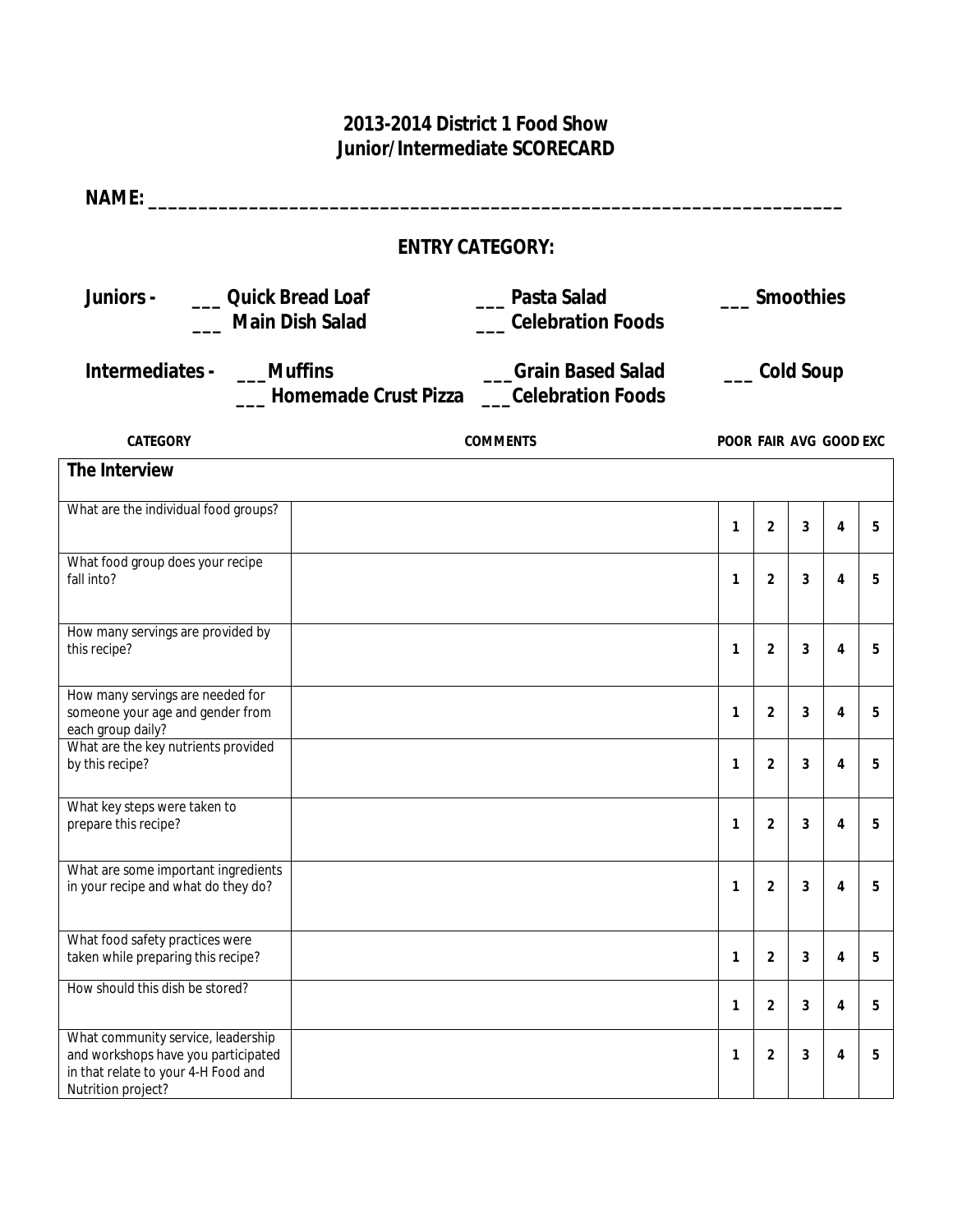## **2013-2014 District 1 Food Show Junior/Intermediate SCORECARD**

| <b>NAME:</b>                                                                                                                                                                                                         |  |                        |                        |                  |   |                |   |  |  |
|----------------------------------------------------------------------------------------------------------------------------------------------------------------------------------------------------------------------|--|------------------------|------------------------|------------------|---|----------------|---|--|--|
|                                                                                                                                                                                                                      |  | <b>ENTRY CATEGORY:</b> |                        |                  |   |                |   |  |  |
| Juniors -<br><b>Quick Bread Loaf</b><br>Pasta Salad<br><b>Celebration Foods</b><br><b>Main Dish Salad</b><br>Intermediates -<br><b>Grain Based Salad</b><br><b>Muffins</b><br>Homemade Crust Pizza Celebration Foods |  |                        |                        | <b>Smoothies</b> |   |                |   |  |  |
|                                                                                                                                                                                                                      |  | <b>Cold Soup</b>       |                        |                  |   |                |   |  |  |
| <b>CATEGORY</b>                                                                                                                                                                                                      |  | <b>COMMENTS</b>        | POOR FAIR AVG GOOD EXC |                  |   |                |   |  |  |
| The Interview                                                                                                                                                                                                        |  |                        |                        |                  |   |                |   |  |  |
| What are the individual food groups?                                                                                                                                                                                 |  |                        | 1                      | $\overline{2}$   | 3 | 4              | 5 |  |  |
| What food group does your recipe<br>fall into?                                                                                                                                                                       |  |                        | $\mathbf{1}$           | $\overline{2}$   | 3 | 4              | 5 |  |  |
| How many servings are provided by<br>this recipe?                                                                                                                                                                    |  |                        | 1                      | 2                | 3 | 4              | 5 |  |  |
| How many servings are needed for<br>someone your age and gender from<br>each group daily?                                                                                                                            |  |                        | 1                      | $\overline{2}$   | 3 | 4              | 5 |  |  |
| What are the key nutrients provided<br>by this recipe?                                                                                                                                                               |  |                        | 1                      | $\overline{2}$   | 3 | 4              | 5 |  |  |
| What key steps were taken to<br>prepare this recipe?                                                                                                                                                                 |  |                        | $\mathbf{1}$           | $\overline{2}$   | 3 | 4              | 5 |  |  |
| What are some important ingredients<br>in your recipe and what do they do?                                                                                                                                           |  |                        | $\mathbf{1}$           | $\mathbf{2}$     | 3 | 4              | b |  |  |
| What food safety practices were<br>taken while preparing this recipe?                                                                                                                                                |  |                        | $\mathbf{1}$           | $\overline{2}$   | 3 | 4              | 5 |  |  |
| How should this dish be stored?                                                                                                                                                                                      |  |                        | $\mathbf{1}$           | $\overline{2}$   | 3 | $\overline{4}$ | 5 |  |  |
| What community service, leadership<br>and workshops have you participated<br>in that relate to your 4-H Food and<br>Nutrition project?                                                                               |  |                        | 1                      | $\overline{2}$   | 3 | 4              | 5 |  |  |